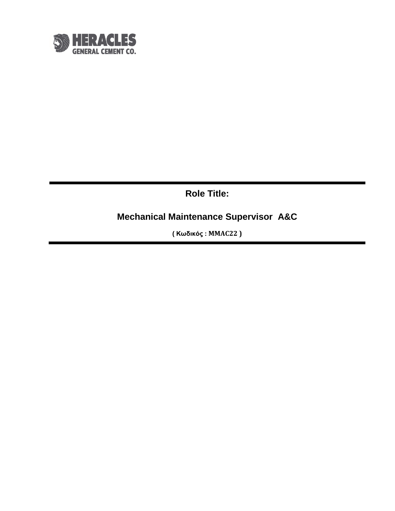

**Role Title:**

**Mechanical Maintenance Supervisor A&C**

**( Κωδικός : MMAC22 )**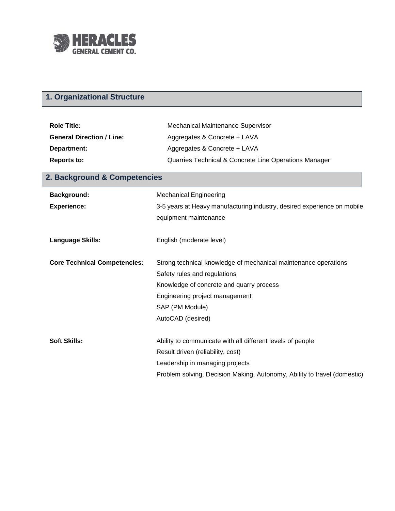

## **1. Organizational Structure**

| <b>Role Title:</b>               | Mechanical Maintenance Supervisor                     |
|----------------------------------|-------------------------------------------------------|
| <b>General Direction / Line:</b> | Aggregates & Concrete + LAVA                          |
| Department:                      | Aggregates & Concrete + LAVA                          |
| <b>Reports to:</b>               | Quarries Technical & Concrete Line Operations Manager |

| 2. Background & Competencies        |                                                                                                  |  |
|-------------------------------------|--------------------------------------------------------------------------------------------------|--|
| <b>Background:</b>                  | <b>Mechanical Engineering</b>                                                                    |  |
| <b>Experience:</b>                  | 3-5 years at Heavy manufacturing industry, desired experience on mobile<br>equipment maintenance |  |
| <b>Language Skills:</b>             | English (moderate level)                                                                         |  |
| <b>Core Technical Competencies:</b> | Strong technical knowledge of mechanical maintenance operations                                  |  |
|                                     | Safety rules and regulations                                                                     |  |
|                                     | Knowledge of concrete and quarry process                                                         |  |
|                                     | Engineering project management                                                                   |  |
|                                     | SAP (PM Module)                                                                                  |  |
|                                     | AutoCAD (desired)                                                                                |  |
| <b>Soft Skills:</b>                 | Ability to communicate with all different levels of people                                       |  |
|                                     | Result driven (reliability, cost)                                                                |  |
|                                     | Leadership in managing projects                                                                  |  |

Problem solving, Decision Making, Autonomy, Ability to travel (domestic)